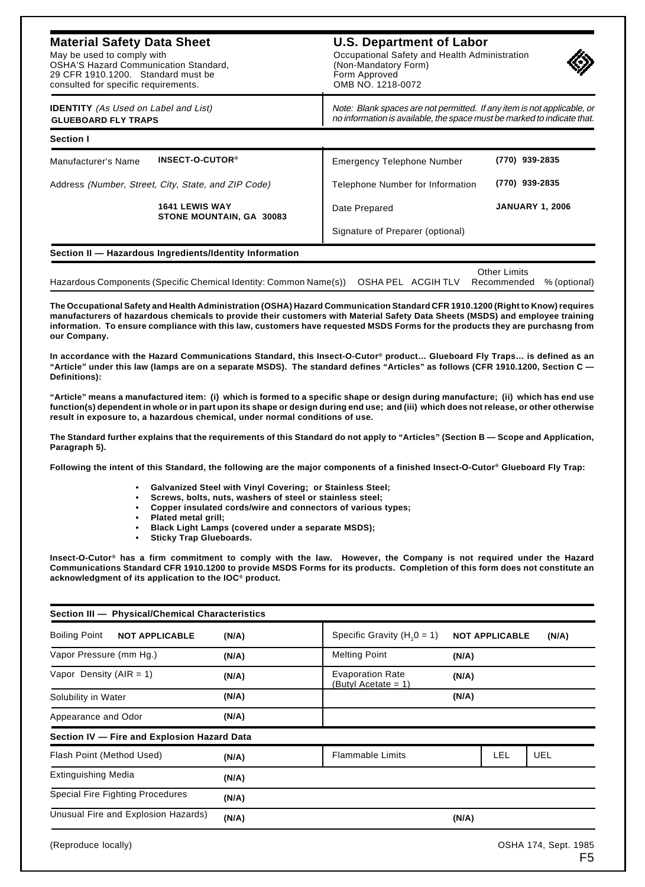## **Material Safety Data Sheet**

May be used to comply with OSHA'S Hazard Communication Standard, 29 CFR 1910.1200. Standard must be consulted for specific requirements.

## **U.S. Department of Labor**

Occupational Safety and Health Administration (Non-Mandatory Form) Form Approved OMB NO. 1218-0072



| <b>IDENTITY</b> (As Used on Label and List)<br><b>GLUEBOARD FLY TRAPS</b> |                                                         | Note: Blank spaces are not permitted. If any item is not applicable, or<br>no information is available, the space must be marked to indicate that. |                        |  |
|---------------------------------------------------------------------------|---------------------------------------------------------|----------------------------------------------------------------------------------------------------------------------------------------------------|------------------------|--|
| Section I                                                                 |                                                         |                                                                                                                                                    |                        |  |
| Manufacturer's Name                                                       | INSECT-O-CUTOR <sup>®</sup>                             | <b>Emergency Telephone Number</b>                                                                                                                  | (770) 939-2835         |  |
|                                                                           | Address (Number, Street, City, State, and ZIP Code)     | Telephone Number for Information                                                                                                                   | (770) 939-2835         |  |
|                                                                           | <b>1641 LEWIS WAY</b><br>STONE MOUNTAIN, GA 30083       | Date Prepared                                                                                                                                      | <b>JANUARY 1, 2006</b> |  |
|                                                                           |                                                         | Signature of Preparer (optional)                                                                                                                   |                        |  |
|                                                                           | Section II - Hazardous Ingredients/Identity Information |                                                                                                                                                    |                        |  |
|                                                                           |                                                         |                                                                                                                                                    |                        |  |

|                                                                                                               |  | Other Limits |  |
|---------------------------------------------------------------------------------------------------------------|--|--------------|--|
| Hazardous Components (Specific Chemical Identity: Common Name(s)) OSHA PEL ACGIH TLV Recommended % (optional) |  |              |  |

**The Occupational Safety and Health Administration (OSHA) Hazard Communication Standard CFR 1910.1200 (Right to Know) requires manufacturers of hazardous chemicals to provide their customers with Material Safety Data Sheets (MSDS) and employee training information. To ensure compliance with this law, customers have requested MSDS Forms for the products they are purchasng from our Company.**

**In accordance with the Hazard Communications Standard, this Insect-O-Cutor® product… Glueboard Fly Traps… is defined as an "Article" under this law (lamps are on a separate MSDS). The standard defines "Articles" as follows (CFR 1910.1200, Section C — Definitions):**

**"Article" means a manufactured item: (i) which is formed to a specific shape or design during manufacture; (ii) which has end use function(s) dependent in whole or in part upon its shape or design during end use; and (iii) which does not release, or other otherwise result in exposure to, a hazardous chemical, under normal conditions of use.**

**The Standard further explains that the requirements of this Standard do not apply to "Articles" (Section B — Scope and Application, Paragraph 5).**

**Following the intent of this Standard, the following are the major components of a finished Insect-O-Cutor® Glueboard Fly Trap:**

- **Galvanized Steel with Vinyl Covering; or Stainless Steel;**
- **Screws, bolts, nuts, washers of steel or stainless steel;**
- **Copper insulated cords/wire and connectors of various types;**
- **Plated metal grill;**
- **Black Light Lamps (covered under a separate MSDS);**
- **Sticky Trap Glueboards.**

**Insect-O-Cutor® has a firm commitment to comply with the law. However, the Company is not required under the Hazard Communications Standard CFR 1910.1200 to provide MSDS Forms for its products. Completion of this form does not constitute an acknowledgment of its application to the IOC® product.**

| Section III - Physical/Chemical Characteristics |       |                                                |                                |
|-------------------------------------------------|-------|------------------------------------------------|--------------------------------|
| <b>Boiling Point</b><br><b>NOT APPLICABLE</b>   | (N/A) | Specific Gravity ( $H20 = 1$ )                 | <b>NOT APPLICABLE</b><br>(N/A) |
| Vapor Pressure (mm Hg.)                         | (N/A) | <b>Melting Point</b>                           | (N/A)                          |
| Vapor Density ( $AIR = 1$ )                     | (N/A) | <b>Evaporation Rate</b><br>(Butyl Acetate = 1) | (N/A)                          |
| Solubility in Water                             | (N/A) |                                                | (N/A)                          |
| Appearance and Odor                             | (N/A) |                                                |                                |
| Section IV - Fire and Explosion Hazard Data     |       |                                                |                                |
| Flash Point (Method Used)                       | (N/A) | <b>Flammable Limits</b>                        | <b>LEL</b><br>UEL              |
| Extinguishing Media                             | (N/A) |                                                |                                |
| <b>Special Fire Fighting Procedures</b>         | (N/A) |                                                |                                |
| Unusual Fire and Explosion Hazards)             | (N/A) |                                                | (N/A)                          |